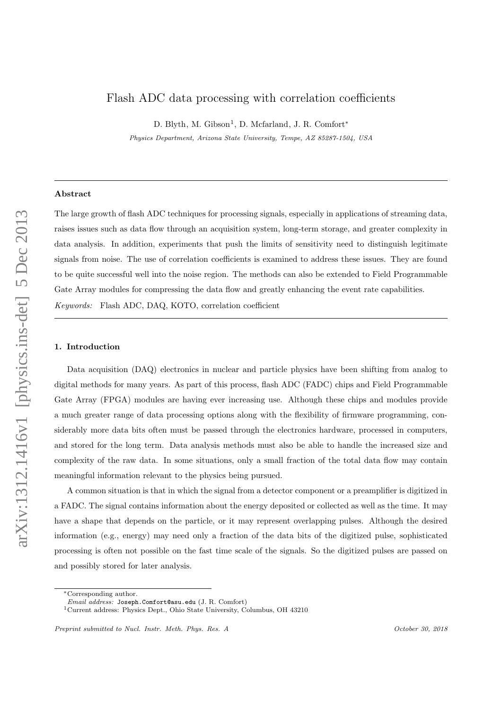# Flash ADC data processing with correlation coefficients

D. Blyth, M. Gibson<sup>1</sup>, D. Mcfarland, J. R. Comfort<sup>\*</sup>

Physics Department, Arizona State University, Tempe, AZ 85287-1504, USA

## Abstract

The large growth of flash ADC techniques for processing signals, especially in applications of streaming data, raises issues such as data flow through an acquisition system, long-term storage, and greater complexity in data analysis. In addition, experiments that push the limits of sensitivity need to distinguish legitimate signals from noise. The use of correlation coefficients is examined to address these issues. They are found to be quite successful well into the noise region. The methods can also be extended to Field Programmable Gate Array modules for compressing the data flow and greatly enhancing the event rate capabilities. Keywords: Flash ADC, DAQ, KOTO, correlation coefficient

## 1. Introduction

Data acquisition (DAQ) electronics in nuclear and particle physics have been shifting from analog to digital methods for many years. As part of this process, flash ADC (FADC) chips and Field Programmable Gate Array (FPGA) modules are having ever increasing use. Although these chips and modules provide a much greater range of data processing options along with the flexibility of firmware programming, considerably more data bits often must be passed through the electronics hardware, processed in computers, and stored for the long term. Data analysis methods must also be able to handle the increased size and complexity of the raw data. In some situations, only a small fraction of the total data flow may contain meaningful information relevant to the physics being pursued.

A common situation is that in which the signal from a detector component or a preamplifier is digitized in a FADC. The signal contains information about the energy deposited or collected as well as the time. It may have a shape that depends on the particle, or it may represent overlapping pulses. Although the desired information (e.g., energy) may need only a fraction of the data bits of the digitized pulse, sophisticated processing is often not possible on the fast time scale of the signals. So the digitized pulses are passed on and possibly stored for later analysis.

<sup>∗</sup>Corresponding author.

Email address: Joseph.Comfort@asu.edu (J. R. Comfort)

<sup>1</sup>Current address: Physics Dept., Ohio State University, Columbus, OH 43210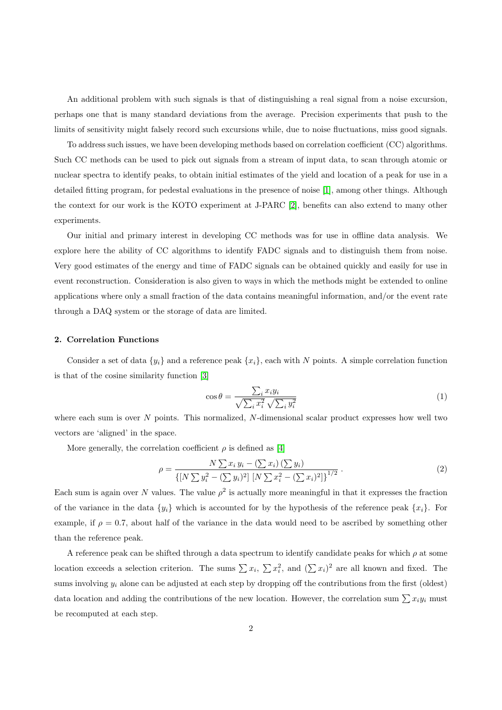An additional problem with such signals is that of distinguishing a real signal from a noise excursion, perhaps one that is many standard deviations from the average. Precision experiments that push to the limits of sensitivity might falsely record such excursions while, due to noise fluctuations, miss good signals.

To address such issues, we have been developing methods based on correlation coefficient (CC) algorithms. Such CC methods can be used to pick out signals from a stream of input data, to scan through atomic or nuclear spectra to identify peaks, to obtain initial estimates of the yield and location of a peak for use in a detailed fitting program, for pedestal evaluations in the presence of noise [\[1\]](#page-8-0), among other things. Although the context for our work is the KOTO experiment at J-PARC [\[2\]](#page-8-1), benefits can also extend to many other experiments.

Our initial and primary interest in developing CC methods was for use in offline data analysis. We explore here the ability of CC algorithms to identify FADC signals and to distinguish them from noise. Very good estimates of the energy and time of FADC signals can be obtained quickly and easily for use in event reconstruction. Consideration is also given to ways in which the methods might be extended to online applications where only a small fraction of the data contains meaningful information, and/or the event rate through a DAQ system or the storage of data are limited.

## 2. Correlation Functions

Consider a set of data  $\{y_i\}$  and a reference peak  $\{x_i\}$ , each with N points. A simple correlation function is that of the cosine similarity function [\[3\]](#page-8-2)

$$
\cos \theta = \frac{\sum_{i} x_i y_i}{\sqrt{\sum_{i} x_i^2} \sqrt{\sum_{i} y_i^2}} \tag{1}
$$

where each sum is over  $N$  points. This normalized,  $N$ -dimensional scalar product expresses how well two vectors are 'aligned' in the space.

More generally, the correlation coefficient  $\rho$  is defined as [\[4\]](#page-8-3)

$$
\rho = \frac{N \sum x_i y_i - (\sum x_i) (\sum y_i)}{\left\{ [N \sum y_i^2 - (\sum y_i)^2] \left[ N \sum x_i^2 - (\sum x_i)^2 \right] \right\}^{1/2}}.
$$
\n(2)

Each sum is again over N values. The value  $\rho^2$  is actually more meaningful in that it expresses the fraction of the variance in the data  $\{y_i\}$  which is accounted for by the hypothesis of the reference peak  $\{x_i\}$ . For example, if  $\rho = 0.7$ , about half of the variance in the data would need to be ascribed by something other than the reference peak.

A reference peak can be shifted through a data spectrum to identify candidate peaks for which  $\rho$  at some location exceeds a selection criterion. The sums  $\sum x_i$ ,  $\sum x_i^2$ , and  $(\sum x_i)^2$  are all known and fixed. The sums involving  $y_i$  alone can be adjusted at each step by dropping off the contributions from the first (oldest) data location and adding the contributions of the new location. However, the correlation sum  $\sum x_i y_i$  must be recomputed at each step.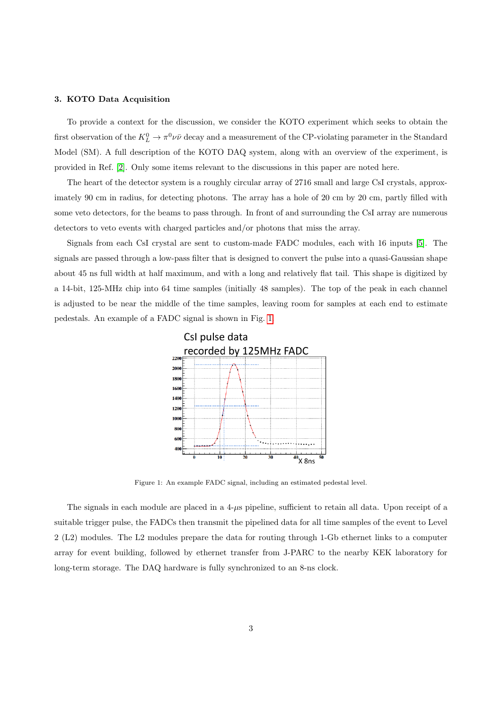## 3. KOTO Data Acquisition

To provide a context for the discussion, we consider the KOTO experiment which seeks to obtain the first observation of the  $K^0_L \to \pi^0 \nu \bar{\nu}$  decay and a measurement of the CP-violating parameter in the Standard Model (SM). A full description of the KOTO DAQ system, along with an overview of the experiment, is provided in Ref. [\[2\]](#page-8-1). Only some items relevant to the discussions in this paper are noted here.

The heart of the detector system is a roughly circular array of 2716 small and large CsI crystals, approximately 90 cm in radius, for detecting photons. The array has a hole of 20 cm by 20 cm, partly filled with some veto detectors, for the beams to pass through. In front of and surrounding the CsI array are numerous detectors to veto events with charged particles and/or photons that miss the array.

Signals from each CsI crystal are sent to custom-made FADC modules, each with 16 inputs [\[5\]](#page-9-0). The signals are passed through a low-pass filter that is designed to convert the pulse into a quasi-Gaussian shape about 45 ns full width at half maximum, and with a long and relatively flat tail. This shape is digitized by a 14-bit, 125-MHz chip into 64 time samples (initially 48 samples). The top of the peak in each channel is adjusted to be near the middle of the time samples, leaving room for samples at each end to estimate pedestals. An example of a FADC signal is shown in Fig. [1.](#page-2-0)



<span id="page-2-0"></span>Figure 1: An example FADC signal, including an estimated pedestal level.

The signals in each module are placed in a  $4-\mu s$  pipeline, sufficient to retain all data. Upon receipt of a suitable trigger pulse, the FADCs then transmit the pipelined data for all time samples of the event to Level 2 (L2) modules. The L2 modules prepare the data for routing through 1-Gb ethernet links to a computer array for event building, followed by ethernet transfer from J-PARC to the nearby KEK laboratory for long-term storage. The DAQ hardware is fully synchronized to an 8-ns clock.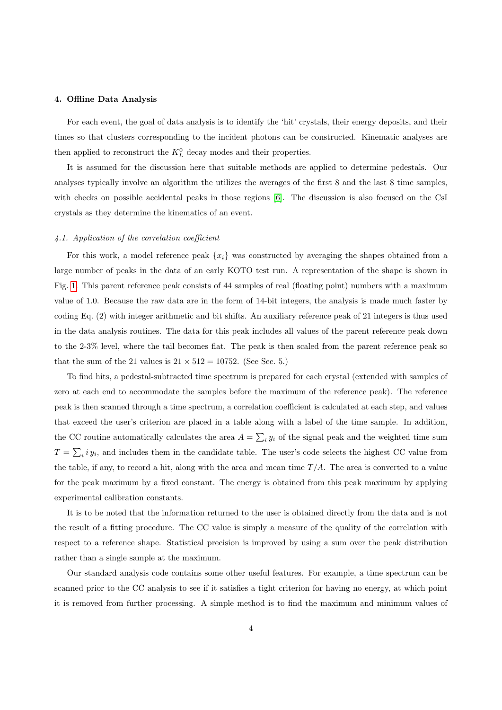## 4. Offline Data Analysis

For each event, the goal of data analysis is to identify the 'hit' crystals, their energy deposits, and their times so that clusters corresponding to the incident photons can be constructed. Kinematic analyses are then applied to reconstruct the  $K^0_L$  decay modes and their properties.

It is assumed for the discussion here that suitable methods are applied to determine pedestals. Our analyses typically involve an algorithm the utilizes the averages of the first 8 and the last 8 time samples, with checks on possible accidental peaks in those regions [\[6\]](#page-9-1). The discussion is also focused on the CsI crystals as they determine the kinematics of an event.

## 4.1. Application of the correlation coefficient

For this work, a model reference peak  $\{x_i\}$  was constructed by averaging the shapes obtained from a large number of peaks in the data of an early KOTO test run. A representation of the shape is shown in Fig. [1.](#page-2-0) This parent reference peak consists of 44 samples of real (floating point) numbers with a maximum value of 1.0. Because the raw data are in the form of 14-bit integers, the analysis is made much faster by coding Eq. (2) with integer arithmetic and bit shifts. An auxiliary reference peak of 21 integers is thus used in the data analysis routines. The data for this peak includes all values of the parent reference peak down to the 2-3% level, where the tail becomes flat. The peak is then scaled from the parent reference peak so that the sum of the 21 values is  $21 \times 512 = 10752$ . (See Sec. 5.)

To find hits, a pedestal-subtracted time spectrum is prepared for each crystal (extended with samples of zero at each end to accommodate the samples before the maximum of the reference peak). The reference peak is then scanned through a time spectrum, a correlation coefficient is calculated at each step, and values that exceed the user's criterion are placed in a table along with a label of the time sample. In addition, the CC routine automatically calculates the area  $A = \sum_i y_i$  of the signal peak and the weighted time sum  $T = \sum_i i y_i$ , and includes them in the candidate table. The user's code selects the highest CC value from the table, if any, to record a hit, along with the area and mean time  $T/A$ . The area is converted to a value for the peak maximum by a fixed constant. The energy is obtained from this peak maximum by applying experimental calibration constants.

It is to be noted that the information returned to the user is obtained directly from the data and is not the result of a fitting procedure. The CC value is simply a measure of the quality of the correlation with respect to a reference shape. Statistical precision is improved by using a sum over the peak distribution rather than a single sample at the maximum.

Our standard analysis code contains some other useful features. For example, a time spectrum can be scanned prior to the CC analysis to see if it satisfies a tight criterion for having no energy, at which point it is removed from further processing. A simple method is to find the maximum and minimum values of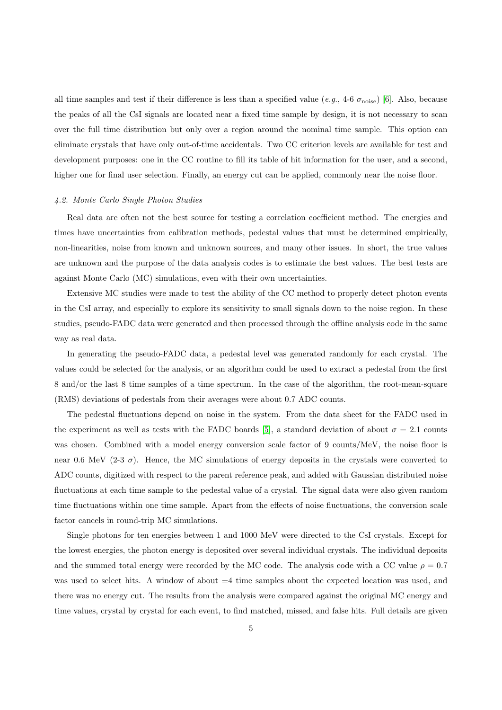all time samples and test if their difference is less than a specified value (e.g., 4-6  $\sigma_{\text{noise}}$ ) [\[6\]](#page-9-1). Also, because the peaks of all the CsI signals are located near a fixed time sample by design, it is not necessary to scan over the full time distribution but only over a region around the nominal time sample. This option can eliminate crystals that have only out-of-time accidentals. Two CC criterion levels are available for test and development purposes: one in the CC routine to fill its table of hit information for the user, and a second, higher one for final user selection. Finally, an energy cut can be applied, commonly near the noise floor.

#### 4.2. Monte Carlo Single Photon Studies

Real data are often not the best source for testing a correlation coefficient method. The energies and times have uncertainties from calibration methods, pedestal values that must be determined empirically, non-linearities, noise from known and unknown sources, and many other issues. In short, the true values are unknown and the purpose of the data analysis codes is to estimate the best values. The best tests are against Monte Carlo (MC) simulations, even with their own uncertainties.

Extensive MC studies were made to test the ability of the CC method to properly detect photon events in the CsI array, and especially to explore its sensitivity to small signals down to the noise region. In these studies, pseudo-FADC data were generated and then processed through the offline analysis code in the same way as real data.

In generating the pseudo-FADC data, a pedestal level was generated randomly for each crystal. The values could be selected for the analysis, or an algorithm could be used to extract a pedestal from the first 8 and/or the last 8 time samples of a time spectrum. In the case of the algorithm, the root-mean-square (RMS) deviations of pedestals from their averages were about 0.7 ADC counts.

The pedestal fluctuations depend on noise in the system. From the data sheet for the FADC used in the experiment as well as tests with the FADC boards [\[5\]](#page-9-0), a standard deviation of about  $\sigma = 2.1$  counts was chosen. Combined with a model energy conversion scale factor of 9 counts/MeV, the noise floor is near 0.6 MeV (2-3  $\sigma$ ). Hence, the MC simulations of energy deposits in the crystals were converted to ADC counts, digitized with respect to the parent reference peak, and added with Gaussian distributed noise fluctuations at each time sample to the pedestal value of a crystal. The signal data were also given random time fluctuations within one time sample. Apart from the effects of noise fluctuations, the conversion scale factor cancels in round-trip MC simulations.

Single photons for ten energies between 1 and 1000 MeV were directed to the CsI crystals. Except for the lowest energies, the photon energy is deposited over several individual crystals. The individual deposits and the summed total energy were recorded by the MC code. The analysis code with a CC value  $\rho = 0.7$ was used to select hits. A window of about  $\pm 4$  time samples about the expected location was used, and there was no energy cut. The results from the analysis were compared against the original MC energy and time values, crystal by crystal for each event, to find matched, missed, and false hits. Full details are given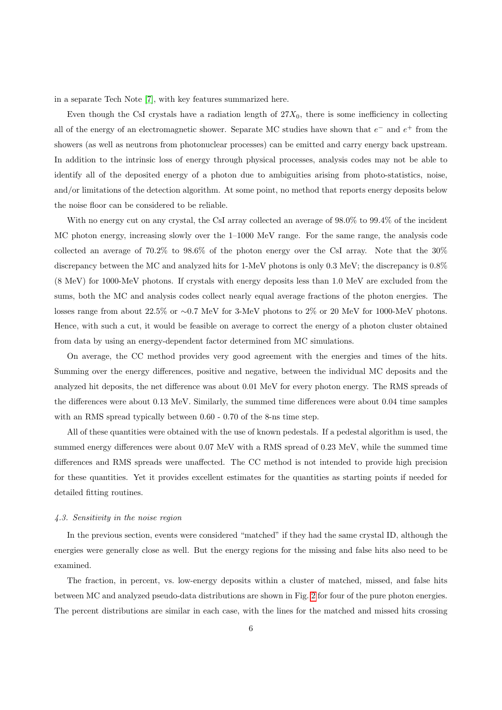in a separate Tech Note [\[7\]](#page-9-2), with key features summarized here.

Even though the CsI crystals have a radiation length of  $27X_0$ , there is some inefficiency in collecting all of the energy of an electromagnetic shower. Separate MC studies have shown that  $e^-$  and  $e^+$  from the showers (as well as neutrons from photonuclear processes) can be emitted and carry energy back upstream. In addition to the intrinsic loss of energy through physical processes, analysis codes may not be able to identify all of the deposited energy of a photon due to ambiguities arising from photo-statistics, noise, and/or limitations of the detection algorithm. At some point, no method that reports energy deposits below the noise floor can be considered to be reliable.

With no energy cut on any crystal, the CsI array collected an average of 98.0% to 99.4% of the incident MC photon energy, increasing slowly over the 1–1000 MeV range. For the same range, the analysis code collected an average of 70.2% to 98.6% of the photon energy over the CsI array. Note that the 30% discrepancy between the MC and analyzed hits for 1-MeV photons is only 0.3 MeV; the discrepancy is 0.8% (8 MeV) for 1000-MeV photons. If crystals with energy deposits less than 1.0 MeV are excluded from the sums, both the MC and analysis codes collect nearly equal average fractions of the photon energies. The losses range from about 22.5% or ∼0.7 MeV for 3-MeV photons to 2% or 20 MeV for 1000-MeV photons. Hence, with such a cut, it would be feasible on average to correct the energy of a photon cluster obtained from data by using an energy-dependent factor determined from MC simulations.

On average, the CC method provides very good agreement with the energies and times of the hits. Summing over the energy differences, positive and negative, between the individual MC deposits and the analyzed hit deposits, the net difference was about 0.01 MeV for every photon energy. The RMS spreads of the differences were about 0.13 MeV. Similarly, the summed time differences were about 0.04 time samples with an RMS spread typically between 0.60 - 0.70 of the 8-ns time step.

All of these quantities were obtained with the use of known pedestals. If a pedestal algorithm is used, the summed energy differences were about 0.07 MeV with a RMS spread of 0.23 MeV, while the summed time differences and RMS spreads were unaffected. The CC method is not intended to provide high precision for these quantities. Yet it provides excellent estimates for the quantities as starting points if needed for detailed fitting routines.

#### 4.3. Sensitivity in the noise region

In the previous section, events were considered "matched" if they had the same crystal ID, although the energies were generally close as well. But the energy regions for the missing and false hits also need to be examined.

The fraction, in percent, vs. low-energy deposits within a cluster of matched, missed, and false hits between MC and analyzed pseudo-data distributions are shown in Fig. [2](#page-6-0) for four of the pure photon energies. The percent distributions are similar in each case, with the lines for the matched and missed hits crossing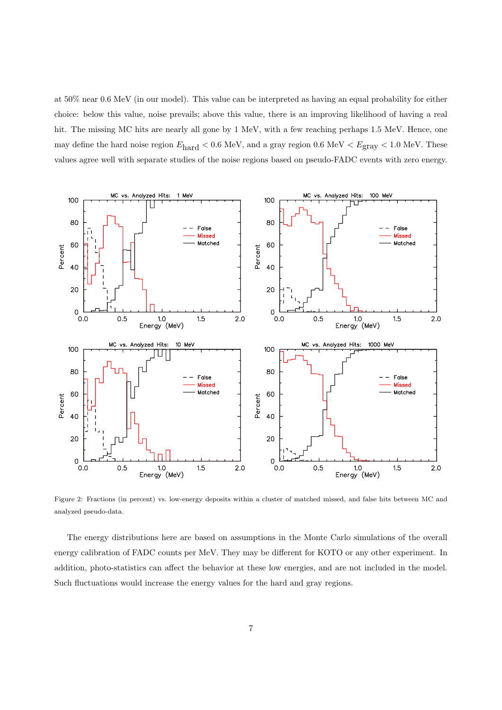at 50% near 0.6 MeV (in our model). This value can be interpreted as having an equal probability for either choice: below this value, noise prevails; above this value, there is an improving likelihood of having a real hit. The missing MC hits are nearly all gone by 1 MeV, with a few reaching perhaps 1.5 MeV. Hence, one may define the hard noise region  $E_{\text{hard}} < 0.6 \text{ MeV}$ , and a gray region 0.6 MeV  $E_{\text{gray}} < 1.0 \text{ MeV}$ . These values agree well with separate studies of the noise regions based on pseudo-FADC events with zero energy.



<span id="page-6-0"></span>Figure 2: Fractions (in percent) vs. low-energy deposits within a cluster of matched missed, and false hits between MC and analyzed pseudo-data.

The energy distributions here are based on assumptions in the Monte Carlo simulations of the overall energy calibration of FADC counts per MeV. They may be different for KOTO or any other experiment. In addition, photo-statistics can affect the behavior at these low energies, and are not included in the model. Such fluctuations would increase the energy values for the hard and gray regions.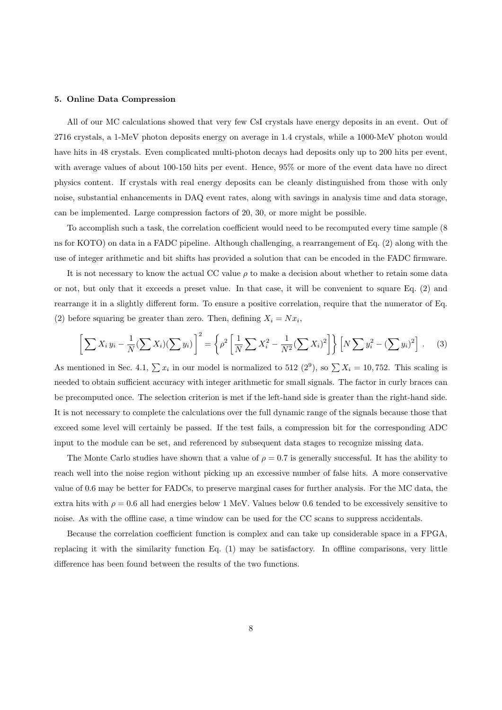#### 5. Online Data Compression

All of our MC calculations showed that very few CsI crystals have energy deposits in an event. Out of 2716 crystals, a 1-MeV photon deposits energy on average in 1.4 crystals, while a 1000-MeV photon would have hits in 48 crystals. Even complicated multi-photon decays had deposits only up to 200 hits per event, with average values of about 100-150 hits per event. Hence, 95% or more of the event data have no direct physics content. If crystals with real energy deposits can be cleanly distinguished from those with only noise, substantial enhancements in DAQ event rates, along with savings in analysis time and data storage, can be implemented. Large compression factors of 20, 30, or more might be possible.

To accomplish such a task, the correlation coefficient would need to be recomputed every time sample (8 ns for KOTO) on data in a FADC pipeline. Although challenging, a rearrangement of Eq. (2) along with the use of integer arithmetic and bit shifts has provided a solution that can be encoded in the FADC firmware.

It is not necessary to know the actual CC value  $\rho$  to make a decision about whether to retain some data or not, but only that it exceeds a preset value. In that case, it will be convenient to square Eq. (2) and rearrange it in a slightly different form. To ensure a positive correlation, require that the numerator of Eq. (2) before squaring be greater than zero. Then, defining  $X_i = Nx_i$ ,

$$
\left[\sum X_i y_i - \frac{1}{N} (\sum X_i)(\sum y_i)\right]^2 = \left\{\rho^2 \left[\frac{1}{N} \sum X_i^2 - \frac{1}{N^2} (\sum X_i)^2\right]\right\} \left[N \sum y_i^2 - (\sum y_i)^2\right].
$$
 (3)

As mentioned in Sec. 4.1,  $\sum x_i$  in our model is normalized to 512 (2<sup>9</sup>), so  $\sum X_i = 10,752$ . This scaling is needed to obtain sufficient accuracy with integer arithmetic for small signals. The factor in curly braces can be precomputed once. The selection criterion is met if the left-hand side is greater than the right-hand side. It is not necessary to complete the calculations over the full dynamic range of the signals because those that exceed some level will certainly be passed. If the test fails, a compression bit for the corresponding ADC input to the module can be set, and referenced by subsequent data stages to recognize missing data.

The Monte Carlo studies have shown that a value of  $\rho = 0.7$  is generally successful. It has the ability to reach well into the noise region without picking up an excessive number of false hits. A more conservative value of 0.6 may be better for FADCs, to preserve marginal cases for further analysis. For the MC data, the extra hits with  $\rho = 0.6$  all had energies below 1 MeV. Values below 0.6 tended to be excessively sensitive to noise. As with the offline case, a time window can be used for the CC scans to suppress accidentals.

Because the correlation coefficient function is complex and can take up considerable space in a FPGA, replacing it with the similarity function Eq. (1) may be satisfactory. In offline comparisons, very little difference has been found between the results of the two functions.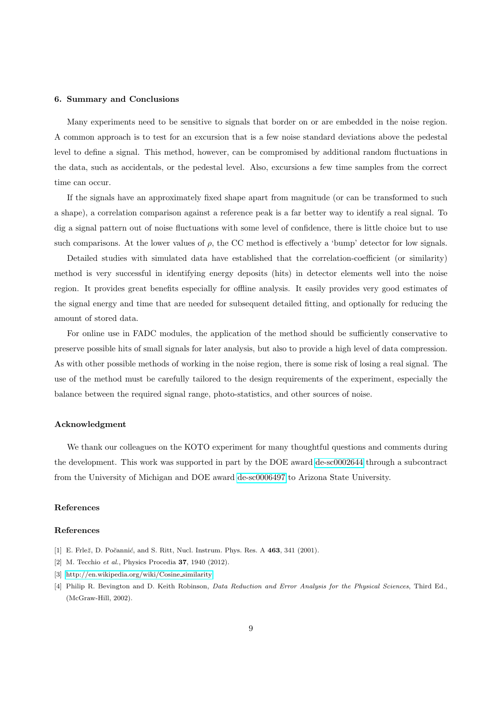## 6. Summary and Conclusions

Many experiments need to be sensitive to signals that border on or are embedded in the noise region. A common approach is to test for an excursion that is a few noise standard deviations above the pedestal level to define a signal. This method, however, can be compromised by additional random fluctuations in the data, such as accidentals, or the pedestal level. Also, excursions a few time samples from the correct time can occur.

If the signals have an approximately fixed shape apart from magnitude (or can be transformed to such a shape), a correlation comparison against a reference peak is a far better way to identify a real signal. To dig a signal pattern out of noise fluctuations with some level of confidence, there is little choice but to use such comparisons. At the lower values of  $\rho$ , the CC method is effectively a 'bump' detector for low signals.

Detailed studies with simulated data have established that the correlation-coefficient (or similarity) method is very successful in identifying energy deposits (hits) in detector elements well into the noise region. It provides great benefits especially for offline analysis. It easily provides very good estimates of the signal energy and time that are needed for subsequent detailed fitting, and optionally for reducing the amount of stored data.

For online use in FADC modules, the application of the method should be sufficiently conservative to preserve possible hits of small signals for later analysis, but also to provide a high level of data compression. As with other possible methods of working in the noise region, there is some risk of losing a real signal. The use of the method must be carefully tailored to the design requirements of the experiment, especially the balance between the required signal range, photo-statistics, and other sources of noise.

## Acknowledgment

We thank our colleagues on the KOTO experiment for many thoughtful questions and comments during the development. This work was supported in part by the DOE award [de-sc0002644](http://arxiv.org/abs/de-sc/0002644) through a subcontract from the University of Michigan and DOE award [de-sc0006497](http://arxiv.org/abs/de-sc/0006497) to Arizona State University.

## References

## References

- <span id="page-8-1"></span><span id="page-8-0"></span>[1] E. Frlež, D. Počannić, and S. Ritt, Nucl. Instrum. Phys. Res. A 463, 341 (2001).
- <span id="page-8-2"></span>[2] M. Tecchio et al., Physics Procedia **37**, 1940 (2012).
- <span id="page-8-3"></span>[3] [http://en.wikipedia.org/wiki/Cosine](http://en.wikipedia.org/wiki/Cosine_similarity) similarity.
- [4] Philip R. Bevington and D. Keith Robinson, Data Reduction and Error Analysis for the Physical Sciences, Third Ed., (McGraw-Hill, 2002).